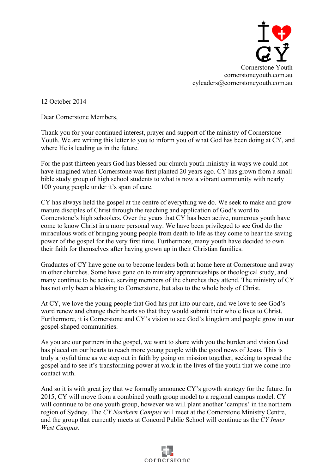

12 October 2014

Dear Cornerstone Members,

Thank you for your continued interest, prayer and support of the ministry of Cornerstone Youth. We are writing this letter to you to inform you of what God has been doing at CY, and where He is leading us in the future.

For the past thirteen years God has blessed our church youth ministry in ways we could not have imagined when Cornerstone was first planted 20 years ago. CY has grown from a small bible study group of high school students to what is now a vibrant community with nearly 100 young people under it's span of care.

CY has always held the gospel at the centre of everything we do. We seek to make and grow mature disciples of Christ through the teaching and application of God's word to Cornerstone's high schoolers. Over the years that CY has been active, numerous youth have come to know Christ in a more personal way. We have been privileged to see God do the miraculous work of bringing young people from death to life as they come to hear the saving power of the gospel for the very first time. Furthermore, many youth have decided to own their faith for themselves after having grown up in their Christian families.

Graduates of CY have gone on to become leaders both at home here at Cornerstone and away in other churches. Some have gone on to ministry apprenticeships or theological study, and many continue to be active, serving members of the churches they attend. The ministry of CY has not only been a blessing to Cornerstone, but also to the whole body of Christ.

At CY, we love the young people that God has put into our care, and we love to see God's word renew and change their hearts so that they would submit their whole lives to Christ. Furthermore, it is Cornerstone and CY's vision to see God's kingdom and people grow in our gospel-shaped communities.

As you are our partners in the gospel, we want to share with you the burden and vision God has placed on our hearts to reach more young people with the good news of Jesus. This is truly a joyful time as we step out in faith by going on mission together, seeking to spread the gospel and to see it's transforming power at work in the lives of the youth that we come into contact with.

And so it is with great joy that we formally announce CY's growth strategy for the future. In 2015, CY will move from a combined youth group model to a regional campus model. CY will continue to be one youth group, however we will plant another 'campus' in the northern region of Sydney. The *CY Northern Campus* will meet at the Cornerstone Ministry Centre, and the group that currently meets at Concord Public School will continue as the *CY Inner West Campus*.